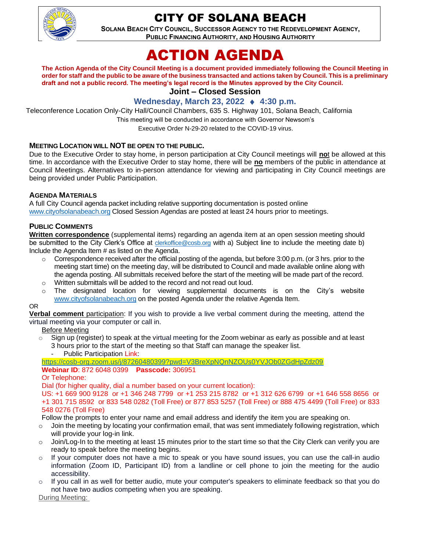

## CITY OF SOLANA BEACH

**SOLANA BEACH CITY COUNCIL, SUCCESSOR AGENCY TO THE REDEVELOPMENT AGENCY, PUBLIC FINANCING AUTHORITY, AND HOUSING AUTHORITY** 

# ACTION AGENDA

**The Action Agenda of the City Council Meeting is a document provided immediately following the Council Meeting in order for staff and the public to be aware of the business transacted and actions taken by Council. This is a preliminary draft and not a public record. The meeting's legal record is the Minutes approved by the City Council.**

**Joint – Closed Session**

## **Wednesday, March 23, 2022 ♦ 4:30 p.m.**

Teleconference Location Only-City Hall/Council Chambers, 635 S. Highway 101, Solana Beach, California

This meeting will be conducted in accordance with Governor Newsom's

Executive Order N-29-20 related to the COVID-19 virus.

#### **MEETING LOCATION WILL NOT BE OPEN TO THE PUBLIC.**

Due to the Executive Order to stay home, in person participation at City Council meetings will **no**t be allowed at this time. In accordance with the Executive Order to stay home, there will be **no** members of the public in attendance at Council Meetings. Alternatives to in-person attendance for viewing and participating in City Council meetings are being provided under Public Participation.

#### **AGENDA MATERIALS**

A full City Council agenda packet including relative supporting documentation is posted online [www.cityofsolanabeach.org](https://urldefense.proofpoint.com/v2/url?u=http-3A__www.cityofsolanabeach.org&d=DwQFAg&c=euGZstcaTDllvimEN8b7jXrwqOf-v5A_CdpgnVfiiMM&r=1XAsCUuqwK_tji2t0s1uIQ&m=wny2RVfZJ2tN24LkqZmkUWNpwL_peNtTZUBlTBZiMM4&s=6ATguqxJUOD7VVtloplAbyuyNaVcEh6Fl4q1iw55lCY&e=) Closed Session Agendas are posted at least 24 hours prior to meetings.

#### **PUBLIC COMMENTS**

**Written correspondence** (supplemental items) regarding an agenda item at an open session meeting should be submitted to the City Clerk's Office at [clerkoffice@cosb.org](mailto:clerkoffice@cosb.org) with a) Subject line to include the meeting date b) Include the Agenda Item # as listed on the Agenda.

- o Correspondence received after the official posting of the agenda, but before 3:00 p.m. (or 3 hrs. prior to the meeting start time) on the meeting day, will be distributed to Council and made available online along with the agenda posting. All submittals received before the start of the meeting will be made part of the record. o Written submittals will be added to the record and not read out loud.
- $\circ$  The designated location for viewing supplemental documents is on the City's website
- [www.cityofsolanabeach.org](http://www.cityofsolanabeach.org/) on the posted Agenda under the relative Agenda Item.

#### OR

**Verbal comment** participation: If you wish to provide a live verbal comment during the meeting, attend the virtual meeting via your computer or call in.

#### Before Meeting

 $\circ$  Sign up (register) to speak at the virtual meeting for the Zoom webinar as early as possible and at least 3 hours prior to the start of the meeting so that Staff can manage the speaker list.

Public Participation Link:

<https://cosb-org.zoom.us/j/87260480399?pwd=V3BreXpNQnNZOUs0YVJOb0ZGdHpZdz09>

#### **Webinar ID**: 872 6048 0399 **Passcode:** 306951

Or Telephone:

Dial (for higher quality, dial a number based on your current location):

US: +1 669 900 9128 or +1 346 248 7799 or +1 253 215 8782 or +1 312 626 6799 or +1 646 558 8656 or +1 301 715 8592 or 833 548 0282 (Toll Free) or 877 853 5257 (Toll Free) or 888 475 4499 (Toll Free) or 833 548 0276 (Toll Free)

Follow the prompts to enter your name and email address and identify the item you are speaking on.

- $\circ$  Join the meeting by locating your confirmation email, that was sent immediately following registration, which will provide your log-in link.
- $\circ$  Join/Log-In to the meeting at least 15 minutes prior to the start time so that the City Clerk can verify you are ready to speak before the meeting begins.
- If your computer does not have a mic to speak or you have sound issues, you can use the call-in audio information (Zoom ID, Participant ID) from a landline or cell phone to join the meeting for the audio accessibility.
- If you call in as well for better audio, mute your computer's speakers to eliminate feedback so that you do not have two audios competing when you are speaking.

During Meeting: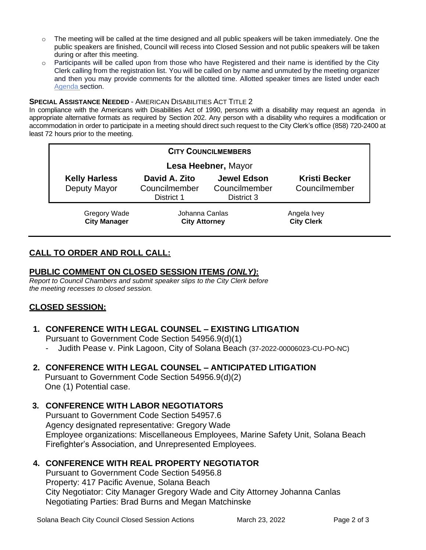- $\circ$  The meeting will be called at the time designed and all public speakers will be taken immediately. One the public speakers are finished, Council will recess into Closed Session and not public speakers will be taken during or after this meeting.
- $\circ$  Participants will be called upon from those who have Registered and their name is identified by the City Clerk calling from the registration list. You will be called on by name and unmuted by the meeting organizer and then you may provide comments for the allotted time. Allotted speaker times are listed under each [Agenda s](https://urldefense.proofpoint.com/v2/url?u=https-3A__www.ci.solana-2Dbeach.ca.us_index.asp-3FSEC-3DF0F1200D-2D21C6-2D4A88-2D8AE1-2D0BC07C1A81A7-26Type-3DB-5FBASIC&d=DwMFaQ&c=euGZstcaTDllvimEN8b7jXrwqOf-v5A_CdpgnVfiiMM&r=1XAsCUuqwK_tji2t0s1uIQ&m=C7WzXfOw2_nkEFMJClT55zZsF4tmIf_7KTn0o1WpYqI&s=3DcsWExM2_nx_xpvFtXslUjphiXd0MDCCF18y_Qy5yU&e=)ection.

#### **SPECIAL ASSISTANCE NEEDED - AMERICAN DISABILITIES ACT TITLE 2**

In compliance with the Americans with Disabilities Act of 1990, persons with a disability may request an agenda in appropriate alternative formats as required by Section 202. Any person with a disability who requires a modification or accommodation in order to participate in a meeting should direct such request to the City Clerk's office (858) 720-2400 at least 72 hours prior to the meeting.

| <b>CITY COUNCILMEMBERS</b>           |                                              |                                                   |                                       |
|--------------------------------------|----------------------------------------------|---------------------------------------------------|---------------------------------------|
| Lesa Heebner, Mayor                  |                                              |                                                   |                                       |
| <b>Kelly Harless</b><br>Deputy Mayor | David A. Zito<br>Councilmember<br>District 1 | <b>Jewel Edson</b><br>Councilmember<br>District 3 | <b>Kristi Becker</b><br>Councilmember |
| Gregory Wade<br><b>City Manager</b>  | Johanna Canlas<br><b>City Attorney</b>       |                                                   | Angela Ivey<br><b>City Clerk</b>      |

## **CALL TO ORDER AND ROLL CALL:**

## **PUBLIC COMMENT ON CLOSED SESSION ITEMS** *(ONLY)***:**

*Report to Council Chambers and submit speaker slips to the City Clerk before the meeting recesses to closed session.*

## **CLOSED SESSION:**

## **1. CONFERENCE WITH LEGAL COUNSEL – EXISTING LITIGATION**

Pursuant to Government Code Section 54956.9(d)(1)

- Judith Pease v. Pink Lagoon, City of Solana Beach (37-2022-00006023-CU-PO-NC)

## **2. CONFERENCE WITH LEGAL COUNSEL – ANTICIPATED LITIGATION** Pursuant to Government Code Section 54956.9(d)(2)

One (1) Potential case.

## **3. CONFERENCE WITH LABOR NEGOTIATORS**

Pursuant to Government Code Section 54957.6 Agency designated representative: Gregory Wade Employee organizations: Miscellaneous Employees, Marine Safety Unit, Solana Beach Firefighter's Association, and Unrepresented Employees.

## **4. CONFERENCE WITH REAL PROPERTY NEGOTIATOR**

Pursuant to Government Code Section 54956.8 Property: 417 Pacific Avenue, Solana Beach City Negotiator: City Manager Gregory Wade and City Attorney Johanna Canlas Negotiating Parties: Brad Burns and Megan Matchinske